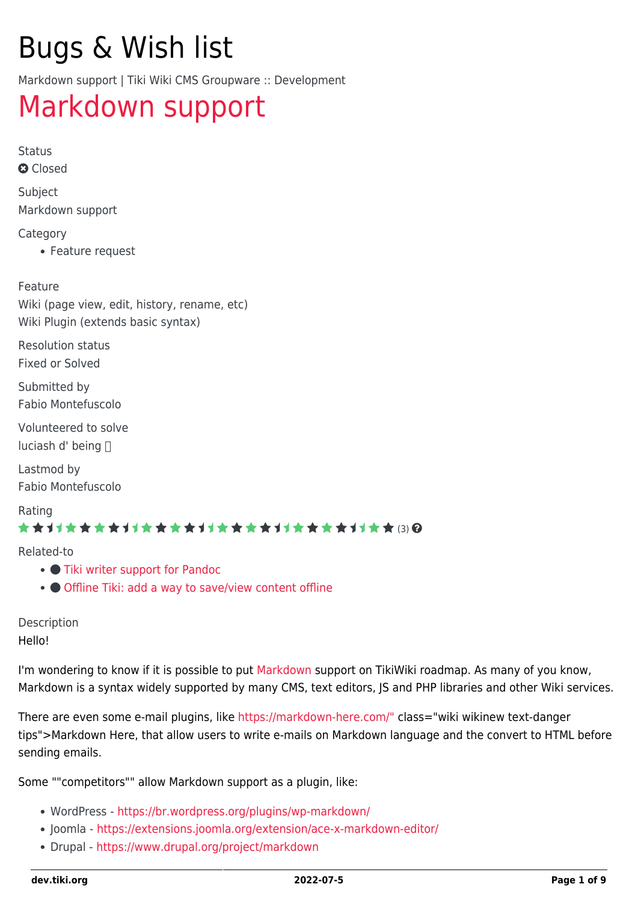# Bugs & Wish list

Markdown support | Tiki Wiki CMS Groupware :: Development

## [Markdown support](https://dev.tiki.org/item6697-Markdown-support)

Status **a** Closed

Subject Markdown support

#### **Category**

Feature request

Feature Wiki (page view, edit, history, rename, etc) Wiki Plugin (extends basic syntax)

Resolution status Fixed or Solved

Submitted by Fabio Montefuscolo

Volunteered to solve luciash d' being

Lastmod by Fabio Montefuscolo

Rating

#### \*\*\*\*\*\*\*\*\*\*\*\*\*\*\*\*\*\*\*\*\*\*\*\*\*\*\*\*\*\*

Related-to

- [Tiki writer support for Pandoc](https://dev.tiki.org/item6827-Tiki-writer-support-for-Pandoc)
- [Offline Tiki: add a way to save/view content offline](https://dev.tiki.org/item1413-Offline-Tiki-add-a-way-to-save-view-content-offline)

Description Hello!

I'm wondering to know if it is possible to put [Markdown](https://dev.tiki.org/Markdown) support on TikiWiki roadmap. As many of you know, Markdown is a syntax widely supported by many CMS, text editors, JS and PHP libraries and other Wiki services.

There are even some e-mail plugins, like [https://markdown-here.com/"](https://dev.tiki.org/tiki-editpage.php?page=https%3A%2F%2Fmarkdown-here.com%2F) class="wiki wikinew text-danger tips">Markdown Here, that allow users to write e-mails on Markdown language and the convert to HTML before sending emails.

Some ""competitors"" allow Markdown support as a plugin, like:

- WordPress <https://br.wordpress.org/plugins/wp-markdown/>
- Joomla -<https://extensions.joomla.org/extension/ace-x-markdown-editor/>
- Drupal -<https://www.drupal.org/project/markdown>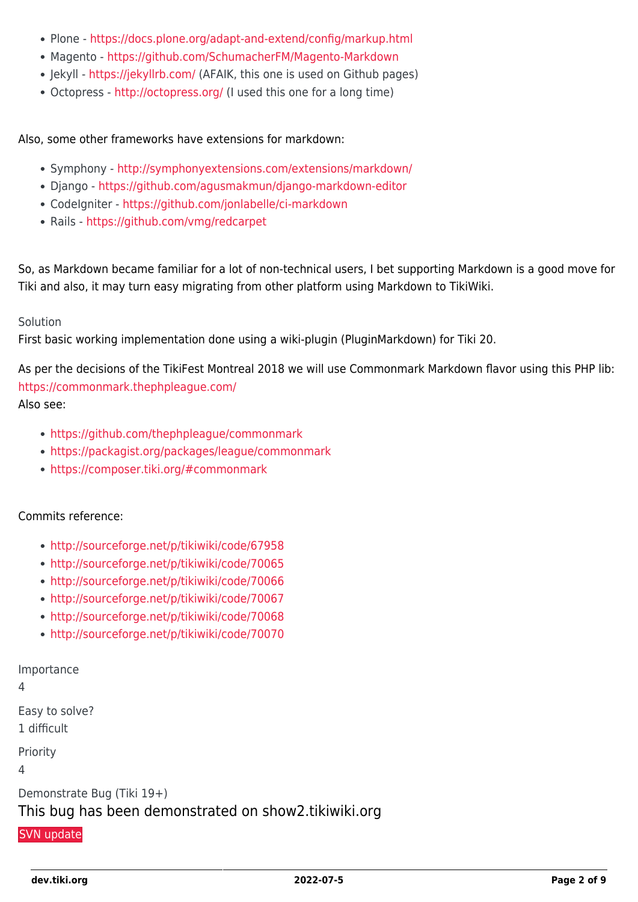- Plone -<https://docs.plone.org/adapt-and-extend/config/markup.html>
- Magento -<https://github.com/SchumacherFM/Magento-Markdown>
- Jekyll -<https://jekyllrb.com/> (AFAIK, this one is used on Github pages)
- Octopress <http://octopress.org/> (I used this one for a long time)

Also, some other frameworks have extensions for markdown:

- Symphony -<http://symphonyextensions.com/extensions/markdown/>
- Django <https://github.com/agusmakmun/django-markdown-editor>
- CodeIgniter <https://github.com/jonlabelle/ci-markdown>
- Rails <https://github.com/vmg/redcarpet>

So, as Markdown became familiar for a lot of non-technical users, I bet supporting Markdown is a good move for Tiki and also, it may turn easy migrating from other platform using Markdown to TikiWiki.

#### Solution

First basic working implementation done using a wiki-plugin (PluginMarkdown) for Tiki 20.

As per the decisions of the TikiFest Montreal 2018 we will use Commonmark Markdown flavor using this PHP lib: <https://commonmark.thephpleague.com/>

Also see:

- <https://github.com/thephpleague/commonmark>
- <https://packagist.org/packages/league/commonmark>
- <https://composer.tiki.org/#commonmark>

#### Commits reference:

- <http://sourceforge.net/p/tikiwiki/code/67958>
- <http://sourceforge.net/p/tikiwiki/code/70065>
- <http://sourceforge.net/p/tikiwiki/code/70066>
- <http://sourceforge.net/p/tikiwiki/code/70067>
- <http://sourceforge.net/p/tikiwiki/code/70068>
- <http://sourceforge.net/p/tikiwiki/code/70070>

Importance

4

Easy to solve?

1 difficult

Priority

4

Demonstrate Bug (Tiki 19+)

#### This bug has been demonstrated on show2.tikiwiki.org

#### [SVN update](#page--1-0)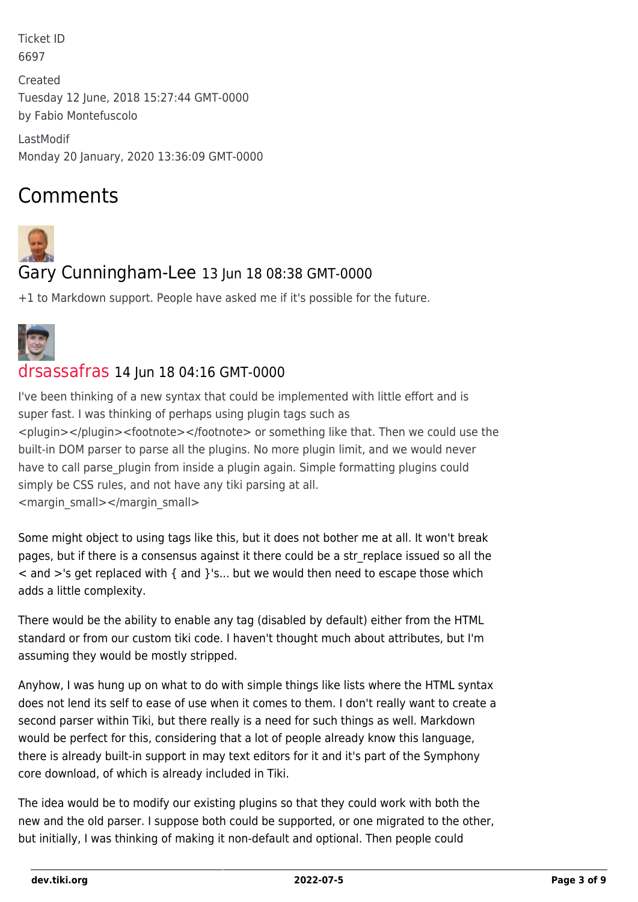Ticket ID 6697

Created Tuesday 12 June, 2018 15:27:44 GMT-0000 by Fabio Montefuscolo

LastModif Monday 20 January, 2020 13:36:09 GMT-0000

## Comments



## Gary Cunningham-Lee 13 Jun 18 08:38 GMT-0000

+1 to Markdown support. People have asked me if it's possible for the future.



#### [drsassafras](https://dev.tiki.org/user11658) 14 Jun 18 04:16 GMT-0000

I've been thinking of a new syntax that could be implemented with little effort and is super fast. I was thinking of perhaps using plugin tags such as <plugin></plugin><footnote></footnote> or something like that. Then we could use the built-in DOM parser to parse all the plugins. No more plugin limit, and we would never have to call parse plugin from inside a plugin again. Simple formatting plugins could simply be CSS rules, and not have any tiki parsing at all. <margin\_small></margin\_small>

Some might object to using tags like this, but it does not bother me at all. It won't break pages, but if there is a consensus against it there could be a str\_replace issued so all the  $\leq$  and  $\geq$ 's get replaced with { and }'s... but we would then need to escape those which adds a little complexity.

There would be the ability to enable any tag (disabled by default) either from the HTML standard or from our custom tiki code. I haven't thought much about attributes, but I'm assuming they would be mostly stripped.

Anyhow, I was hung up on what to do with simple things like lists where the HTML syntax does not lend its self to ease of use when it comes to them. I don't really want to create a second parser within Tiki, but there really is a need for such things as well. Markdown would be perfect for this, considering that a lot of people already know this language, there is already built-in support in may text editors for it and it's part of the Symphony core download, of which is already included in Tiki.

The idea would be to modify our existing plugins so that they could work with both the new and the old parser. I suppose both could be supported, or one migrated to the other, but initially, I was thinking of making it non-default and optional. Then people could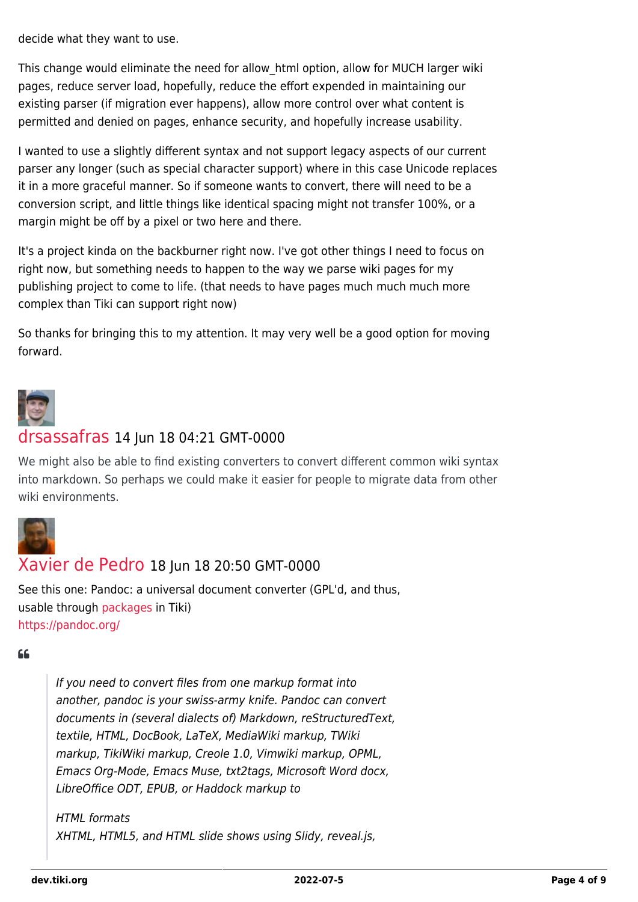decide what they want to use.

This change would eliminate the need for allow\_html option, allow for MUCH larger wiki pages, reduce server load, hopefully, reduce the effort expended in maintaining our existing parser (if migration ever happens), allow more control over what content is permitted and denied on pages, enhance security, and hopefully increase usability.

I wanted to use a slightly different syntax and not support legacy aspects of our current parser any longer (such as special character support) where in this case Unicode replaces it in a more graceful manner. So if someone wants to convert, there will need to be a conversion script, and little things like identical spacing might not transfer 100%, or a margin might be off by a pixel or two here and there.

It's a project kinda on the backburner right now. I've got other things I need to focus on right now, but something needs to happen to the way we parse wiki pages for my publishing project to come to life. (that needs to have pages much much much more complex than Tiki can support right now)

So thanks for bringing this to my attention. It may very well be a good option for moving forward.



#### [drsassafras](https://dev.tiki.org/user11658) 14 Jun 18 04:21 GMT-0000

We might also be able to find existing converters to convert different common wiki syntax into markdown. So perhaps we could make it easier for people to migrate data from other wiki environments.



#### [Xavier de Pedro](https://dev.tiki.org/user9794) 18 Jun 18 20:50 GMT-0000

See this one: Pandoc: a universal document converter (GPL'd, and thus, usable through [packages](http://doc.tiki.org/packages) in Tiki) <https://pandoc.org/>

#### $66$

If you need to convert files from one markup format into another, pandoc is your swiss-army knife. Pandoc can convert documents in (several dialects of) Markdown, reStructuredText, textile, HTML, DocBook, LaTeX, MediaWiki markup, TWiki markup, TikiWiki markup, Creole 1.0, Vimwiki markup, OPML, Emacs Org-Mode, Emacs Muse, txt2tags, Microsoft Word docx, LibreOffice ODT, EPUB, or Haddock markup to

HTML formats XHTML, HTML5, and HTML slide shows using Slidy, reveal.js,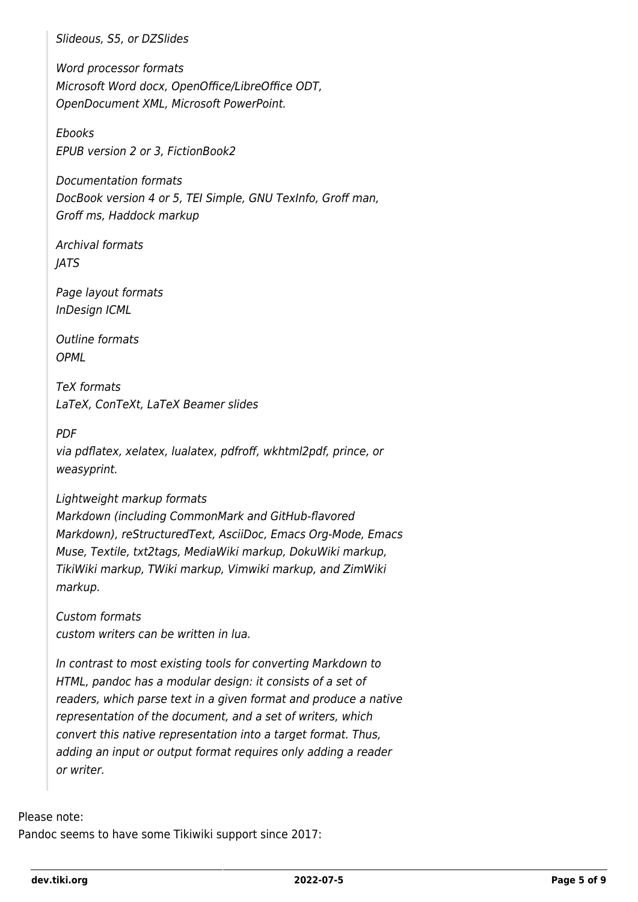Slideous, S5, or DZSlides

Word processor formats Microsoft Word docx, OpenOffice/LibreOffice ODT, OpenDocument XML, Microsoft PowerPoint.

Ebooks EPUB version 2 or 3, FictionBook2

Documentation formats DocBook version 4 or 5, TEI Simple, GNU TexInfo, Groff man, Groff ms, Haddock markup

Archival formats JATS

Page layout formats InDesign ICML

Outline formats **OPML** 

TeX formats LaTeX, ConTeXt, LaTeX Beamer slides

PDF

via pdflatex, xelatex, lualatex, pdfroff, wkhtml2pdf, prince, or weasyprint.

#### Lightweight markup formats

Markdown (including CommonMark and GitHub-flavored Markdown), reStructuredText, AsciiDoc, Emacs Org-Mode, Emacs Muse, Textile, txt2tags, MediaWiki markup, DokuWiki markup, TikiWiki markup, TWiki markup, Vimwiki markup, and ZimWiki markup.

Custom formats custom writers can be written in lua.

In contrast to most existing tools for converting Markdown to HTML, pandoc has a modular design: it consists of a set of readers, which parse text in a given format and produce a native representation of the document, and a set of writers, which convert this native representation into a target format. Thus, adding an input or output format requires only adding a reader or writer.

#### Please note:

Pandoc seems to have some Tikiwiki support since 2017: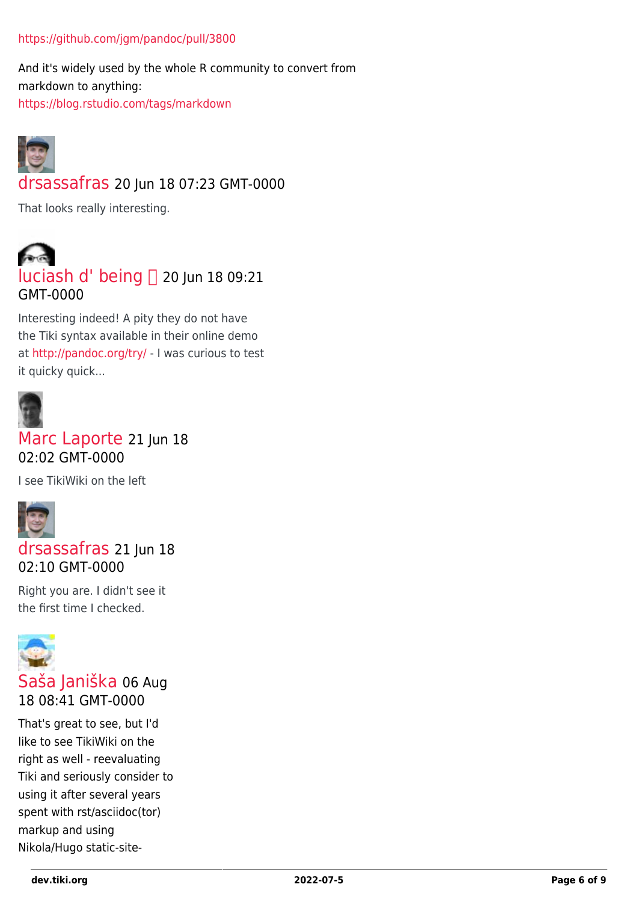#### <https://github.com/jgm/pandoc/pull/3800>

And it's widely used by the whole R community to convert from markdown to anything: <https://blog.rstudio.com/tags/markdown>



[drsassafras](https://dev.tiki.org/user11658) 20 Jun 18 07:23 GMT-0000

That looks really interesting.



Interesting indeed! A pity they do not have the Tiki syntax available in their online demo at<http://pandoc.org/try/>- I was curious to test it quicky quick...



#### [Marc Laporte](https://dev.tiki.org/user11197) 21 Jun 18 02:02 GMT-0000

I see TikiWiki on the left



[drsassafras](https://dev.tiki.org/user11658) 21 Iun 18 02:10 GMT-0000

Right you are. I didn't see it the first time I checked.



#### [Saša Janiška](https://dev.tiki.org/user11559) 06 Aug 18 08:41 GMT-0000

That's great to see, but I'd like to see TikiWiki on the right as well - reevaluating Tiki and seriously consider to using it after several years spent with rst/asciidoc(tor) markup and using Nikola/Hugo static-site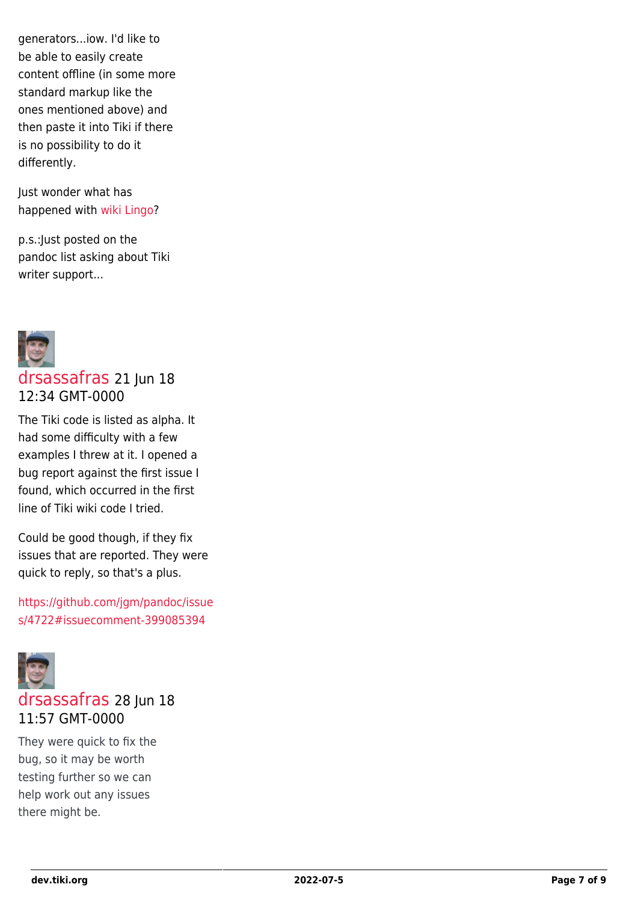generators...iow. I'd like to be able to easily create content offline (in some more standard markup like the ones mentioned above) and then paste it into Tiki if there is no possibility to do it differently.

Just wonder what has happened with [wiki Lingo](https://tiki.org/wikiLingo)?

p.s.:Just posted on the pandoc list asking about Tiki writer support...



#### [drsassafras](https://dev.tiki.org/user11658) 21 Jun 18 12:34 GMT-0000

The Tiki code is listed as alpha. It had some difficulty with a few examples I threw at it. I opened a bug report against the first issue I found, which occurred in the first line of Tiki wiki code I tried.

Could be good though, if they fix issues that are reported. They were quick to reply, so that's a plus.

[https://github.com/jgm/pandoc/issue](https://github.com/jgm/pandoc/issues/4722#issuecomment-399085394) [s/4722#issuecomment-399085394](https://github.com/jgm/pandoc/issues/4722#issuecomment-399085394)



#### [drsassafras](https://dev.tiki.org/user11658) 28 Jun 18 11:57 GMT-0000

They were quick to fix the bug, so it may be worth testing further so we can help work out any issues there might be.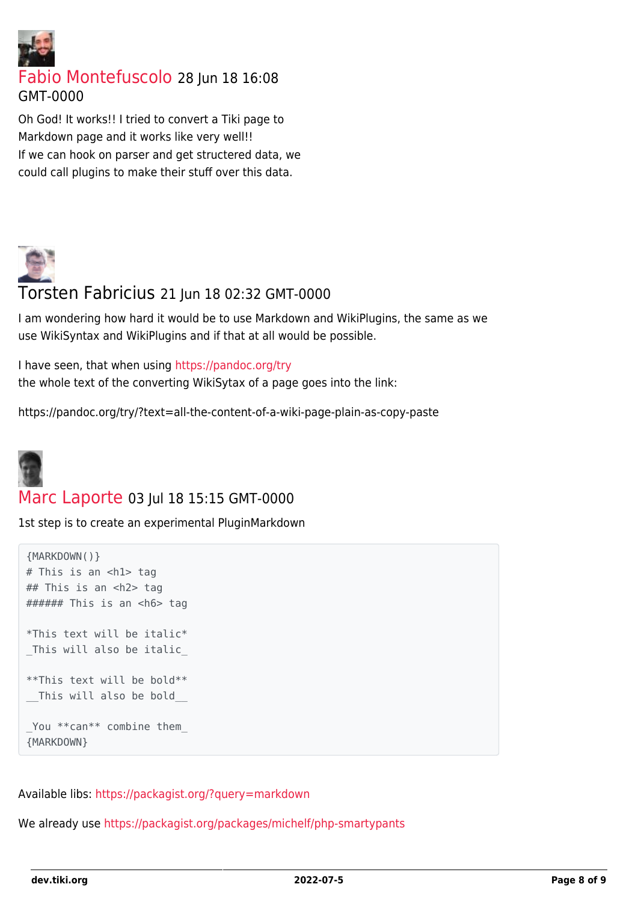

[Fabio Montefuscolo](https://dev.tiki.org/user11849) 28 Jun 18 16:08 GMT-0000

Oh God! It works!! I tried to convert a Tiki page to Markdown page and it works like very well!! If we can hook on parser and get structered data, we could call plugins to make their stuff over this data.



#### Torsten Fabricius 21 Jun 18 02:32 GMT-0000

I am wondering how hard it would be to use Markdown and WikiPlugins, the same as we use WikiSyntax and WikiPlugins and if that at all would be possible.

I have seen, that when using<https://pandoc.org/try> the whole text of the converting WikiSytax of a page goes into the link:

https://pandoc.org/try/?text=all-the-content-of-a-wiki-page-plain-as-copy-paste



#### [Marc Laporte](https://dev.tiki.org/user11197) 03 Jul 18 15:15 GMT-0000

1st step is to create an experimental PluginMarkdown

```
{MARKDOWN()}
# This is an <h1> tag
## This is an <h2> tag
###### This is an <h6> tag
*This text will be italic*
This will also be italic
**This text will be bold**
__This will also be bold__
_You **can** combine them_
{MARKDOWN}
```
Available libs:<https://packagist.org/?query=markdown>

We already use<https://packagist.org/packages/michelf/php-smartypants>